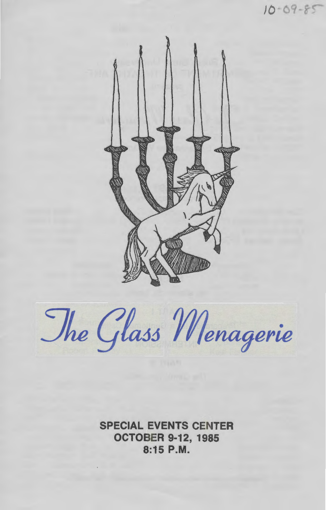

 $10 - 09 - 85$ 

The Glass Menagerie

SPECIAL EVENTS CENTER OCTOBER 9-12, 1985 8:15P.M.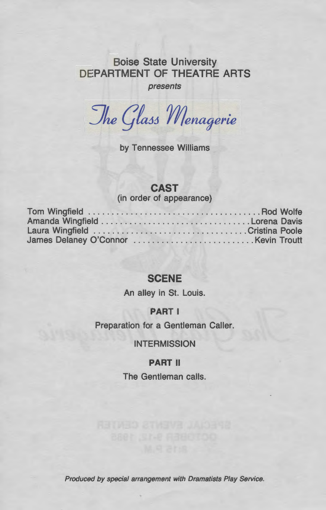## Boise State University DEPARTMENT OF THEATRE ARTS

presents

The Glass Menagerie

by Tennessee Williams

## **CAST**

(in order of appearance)

## **SCENE**

An alley in St. Louis.

### **PART** I

Preparation for a Gentleman Caller.

## **INTERMISSION**

### **PART** II

The Gentleman calls.

Produced by special arrangement with Dramatists Play Service.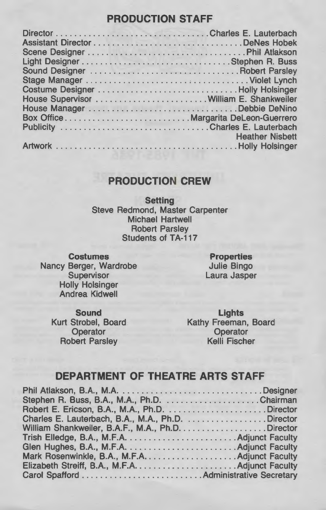## **PRODUCTION STAFF**

| House Supervisor William E. Shankweiler |                        |
|-----------------------------------------|------------------------|
|                                         |                        |
|                                         |                        |
|                                         |                        |
|                                         | <b>Heather Nisbett</b> |
|                                         |                        |

## **PRODUCTION CREW**

**Setting**  Steve Redmond, Master Carpenter Michael Hartwell Robert Parsley Students of TA-117

**Costumes**  Nancy Berger, Wardrobe **Supervisor** Holly Holsinger Andrea Kidwell

**Properties**  Julie Bingo Laura Jasper

**Sound**  Kurt Strobel, Board **Operator** Robert Parsley

**Lights**  Kathy Freeman, Board **Operator** Kelli Fischer

## **DEPARTMENT OF THEATRE ARTS STAFF**

| Stephen R. Buss, B.A., M.A., Ph.D. Chairman       |  |
|---------------------------------------------------|--|
|                                                   |  |
| Charles E. Lauterbach, B.A., M.A., Ph.D. Director |  |
| William Shankweiler, B.A.F., M.A., Ph.D. Director |  |
|                                                   |  |
|                                                   |  |
|                                                   |  |
|                                                   |  |
|                                                   |  |